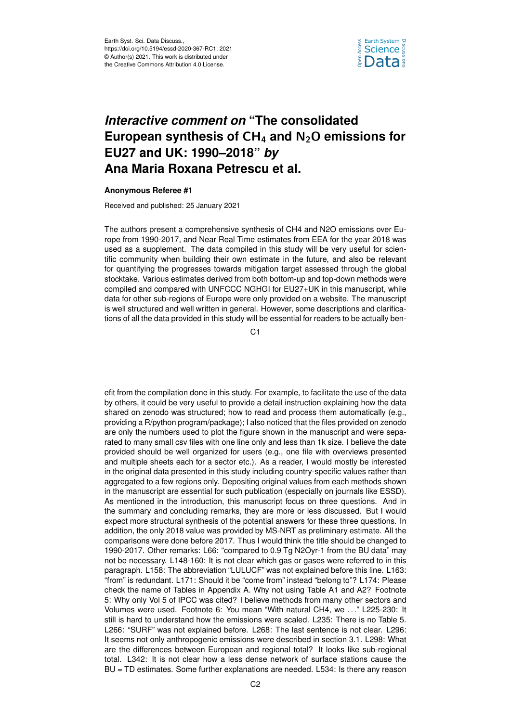

## *Interactive comment on* **"The consolidated European synthesis of** CH<sup>4</sup> **and** N2O **emissions for EU27 and UK: 1990–2018"** *by* **Ana Maria Roxana Petrescu et al.**

## **Anonymous Referee #1**

Received and published: 25 January 2021

The authors present a comprehensive synthesis of CH4 and N2O emissions over Europe from 1990-2017, and Near Real Time estimates from EEA for the year 2018 was used as a supplement. The data compiled in this study will be very useful for scientific community when building their own estimate in the future, and also be relevant for quantifying the progresses towards mitigation target assessed through the global stocktake. Various estimates derived from both bottom-up and top-down methods were compiled and compared with UNFCCC NGHGI for EU27+UK in this manuscript, while data for other sub-regions of Europe were only provided on a website. The manuscript is well structured and well written in general. However, some descriptions and clarifications of all the data provided in this study will be essential for readers to be actually ben-

C<sub>1</sub>

efit from the compilation done in this study. For example, to facilitate the use of the data by others, it could be very useful to provide a detail instruction explaining how the data shared on zenodo was structured; how to read and process them automatically (e.g., providing a R/python program/package); I also noticed that the files provided on zenodo are only the numbers used to plot the figure shown in the manuscript and were separated to many small csv files with one line only and less than 1k size. I believe the date provided should be well organized for users (e.g., one file with overviews presented and multiple sheets each for a sector etc.). As a reader, I would mostly be interested in the original data presented in this study including country-specific values rather than aggregated to a few regions only. Depositing original values from each methods shown in the manuscript are essential for such publication (especially on journals like ESSD). As mentioned in the introduction, this manuscript focus on three questions. And in the summary and concluding remarks, they are more or less discussed. But I would expect more structural synthesis of the potential answers for these three questions. In addition, the only 2018 value was provided by MS-NRT as preliminary estimate. All the comparisons were done before 2017. Thus I would think the title should be changed to 1990-2017. Other remarks: L66: "compared to 0.9 Tg N2Oyr-1 from the BU data" may not be necessary. L148-160: It is not clear which gas or gases were referred to in this paragraph. L158: The abbreviation "LULUCF" was not explained before this line. L163: "from" is redundant. L171: Should it be "come from" instead "belong to"? L174: Please check the name of Tables in Appendix A. Why not using Table A1 and A2? Footnote 5: Why only Vol 5 of IPCC was cited? I believe methods from many other sectors and Volumes were used. Footnote 6: You mean "With natural CH4, we . . ." L225-230: It still is hard to understand how the emissions were scaled. L235: There is no Table 5. L266: "SURF" was not explained before. L268: The last sentence is not clear. L296: It seems not only anthropogenic emissions were described in section 3.1. L298: What are the differences between European and regional total? It looks like sub-regional total. L342: It is not clear how a less dense network of surface stations cause the BU = TD estimates. Some further explanations are needed. L534: Is there any reason